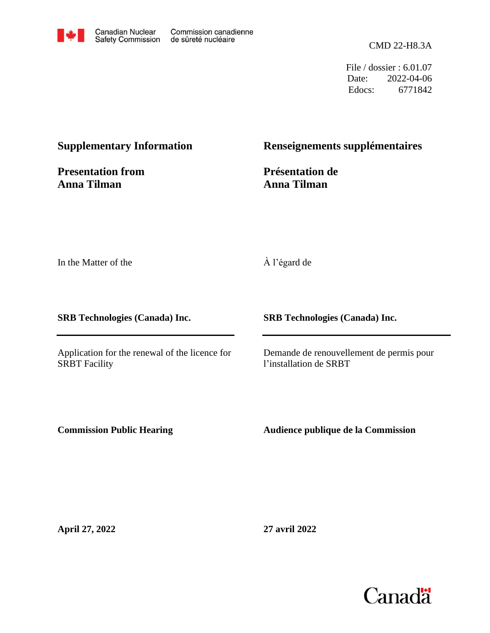

CMD 22-H8.3A

File / dossier : 6.01.07 Date: 2022-04-06 Edocs: 6771842

#### **Supplementary Information**

**Presentation from Anna Tilman**

#### **Renseignements supplémentaires**

**Présentation de Anna Tilman**

In the Matter of the

#### À l'égard de

**SRB Technologies (Canada) Inc.**

Application for the renewal of the licence for SRBT Facility

**SRB Technologies (Canada) Inc.**

Demande de renouvellement de permis pour l'installation de SRBT

**Commission Public Hearing**

**Audience publique de la Commission**

**April 27, 2022**

**27 avril 2022**

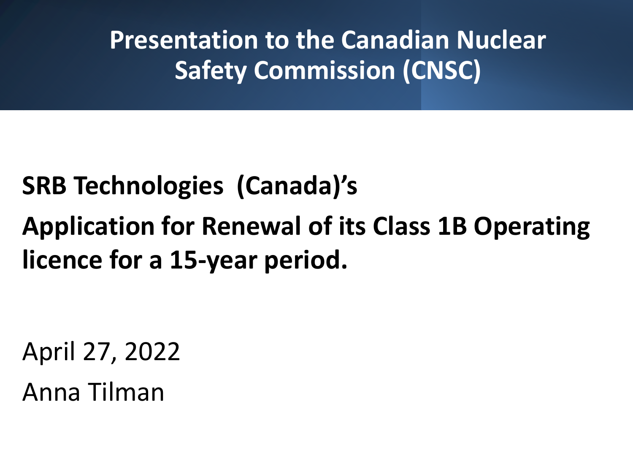**Presentation to the Canadian Nuclear Safety Commission (CNSC)**

## **SRB Technologies (Canada)'s**

# **Application for Renewal of its Class 1B Operating licence for a 15-year period.**

April 27, 2022

Anna Tilman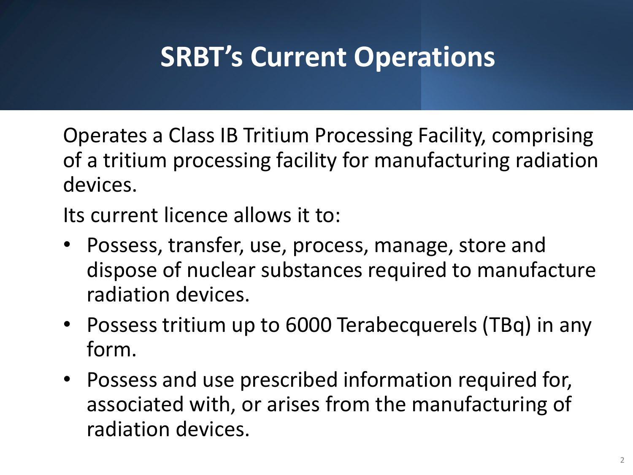# **SRBT's Current Operations**

Operates a Class IB Tritium Processing Facility, comprising of a tritium processing facility for manufacturing radiation devices.

Its current licence allows it to:

- Possess, transfer, use, process, manage, store and dispose of nuclear substances required to manufacture radiation devices.
- Possess tritium up to 6000 Terabecquerels (TBq) in any form.
- Possess and use prescribed information required for, associated with, or arises from the manufacturing of radiation devices.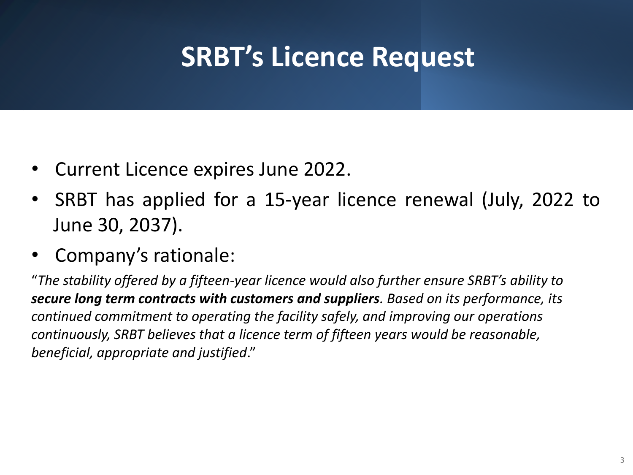# **SRBT's Licence Request**

- Current Licence expires June 2022.
- SRBT has applied for a 15-year licence renewal (July, 2022 to June 30, 2037).
- Company's rationale:

"*The stability offered by a fifteen-year licence would also further ensure SRBT's ability to secure long term contracts with customers and suppliers. Based on its performance, its continued commitment to operating the facility safely, and improving our operations continuously, SRBT believes that a licence term of fifteen years would be reasonable, beneficial, appropriate and justified*."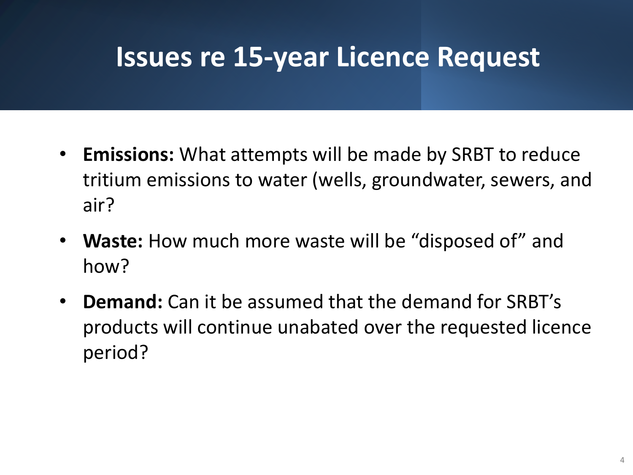## **Issues re 15-year Licence Request**

- **Emissions:** What attempts will be made by SRBT to reduce tritium emissions to water (wells, groundwater, sewers, and air?
- **Waste:** How much more waste will be "disposed of" and how?
- **Demand:** Can it be assumed that the demand for SRBT's products will continue unabated over the requested licence period?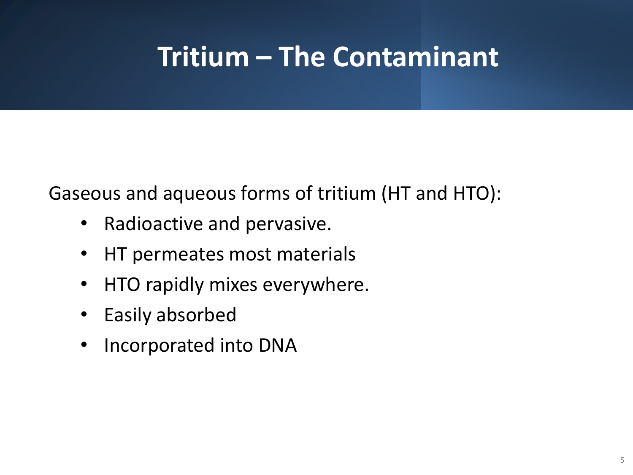# **Tritium – The Contaminant**

Gaseous and aqueous forms of tritium (HT and HTO):

- Radioactive and pervasive.
- HT permeates most materials
- HTO rapidly mixes everywhere.
- Easily absorbed
- Incorporated into DNA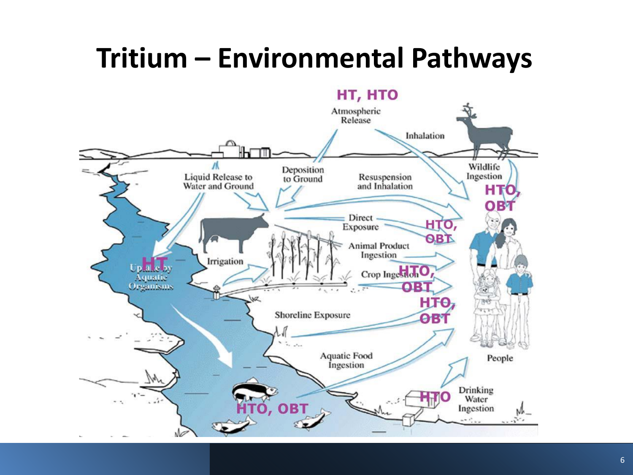# **Tritium – Environmental Pathways**

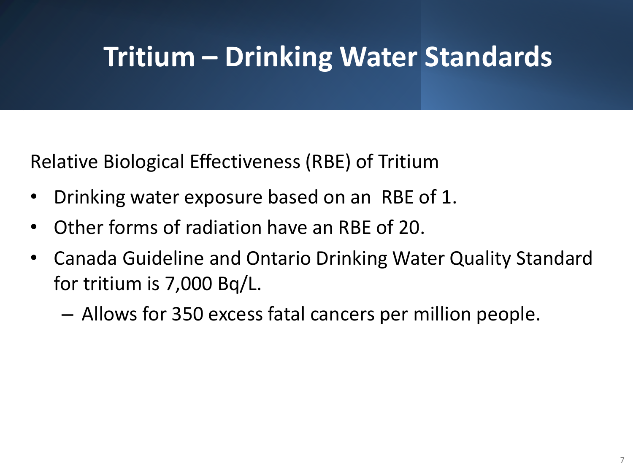# **Tritium – Drinking Water Standards**

Relative Biological Effectiveness (RBE) of Tritium

- Drinking water exposure based on an RBE of 1.
- Other forms of radiation have an RBE of 20.
- Canada Guideline and Ontario Drinking Water Quality Standard for tritium is 7,000 Bq/L.
	- Allows for 350 excess fatal cancers per million people.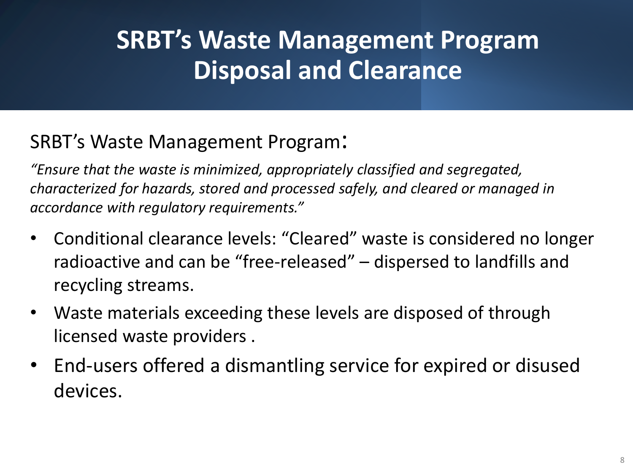## **SRBT's Waste Management Program Disposal and Clearance**

#### SRBT's Waste Management Program:

*"Ensure that the waste is minimized, appropriately classified and segregated, characterized for hazards, stored and processed safely, and cleared or managed in accordance with regulatory requirements."*

- Conditional clearance levels: "Cleared" waste is considered no longer radioactive and can be "free-released" – dispersed to landfills and recycling streams.
- Waste materials exceeding these levels are disposed of through licensed waste providers .
- End-users offered a dismantling service for expired or disused devices.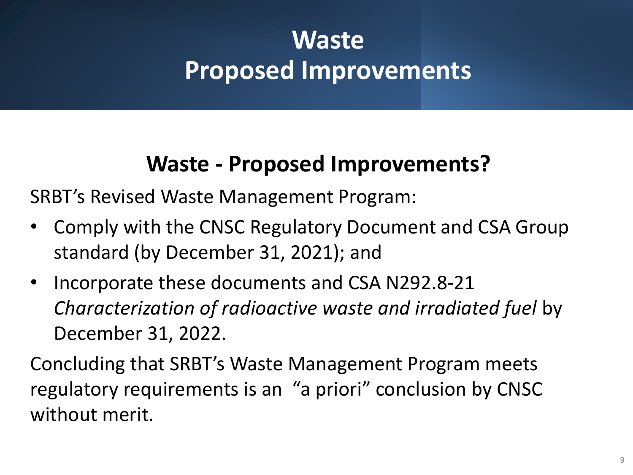## **Waste Proposed Improvements**

### **Waste - Proposed Improvements?**

SRBT's Revised Waste Management Program:

- Comply with the CNSC Regulatory Document and CSA Group standard (by December 31, 2021); and
- Incorporate these documents and CSA N292.8-21 *Characterization of radioactive waste and irradiated fuel* by December 31, 2022.

Concluding that SRBT's Waste Management Program meets regulatory requirements is an "a priori" conclusion by CNSC without merit.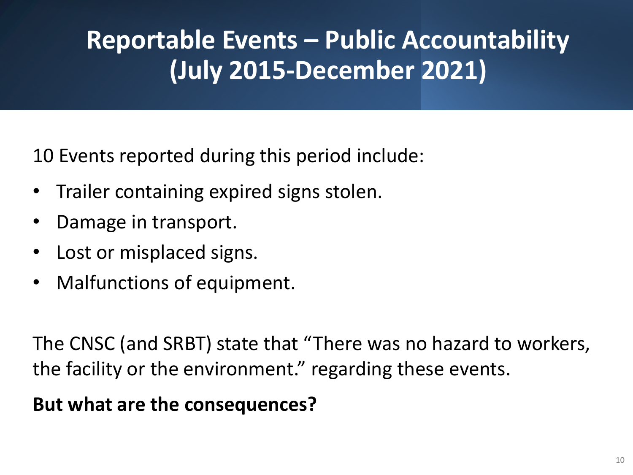## **Reportable Events – Public Accountability (July 2015-December 2021)**

10 Events reported during this period include:

- Trailer containing expired signs stolen.
- Damage in transport.
- Lost or misplaced signs.
- Malfunctions of equipment.

The CNSC (and SRBT) state that "There was no hazard to workers, the facility or the environment." regarding these events.

#### **But what are the consequences?**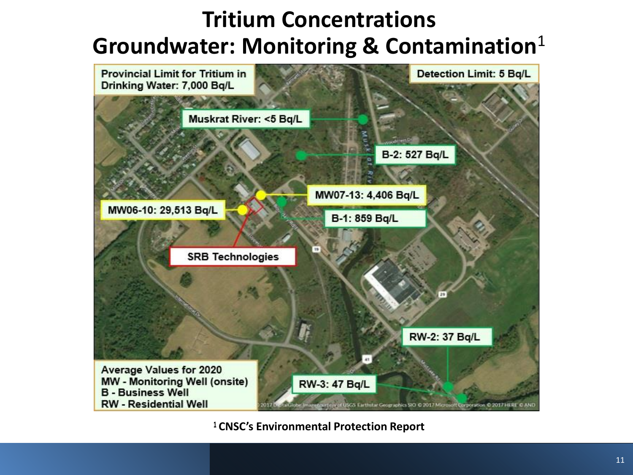### **Tritium Concentrations Groundwater: Monitoring & Contamination**<sup>1</sup>



**CNSC's Environmental Protection Report**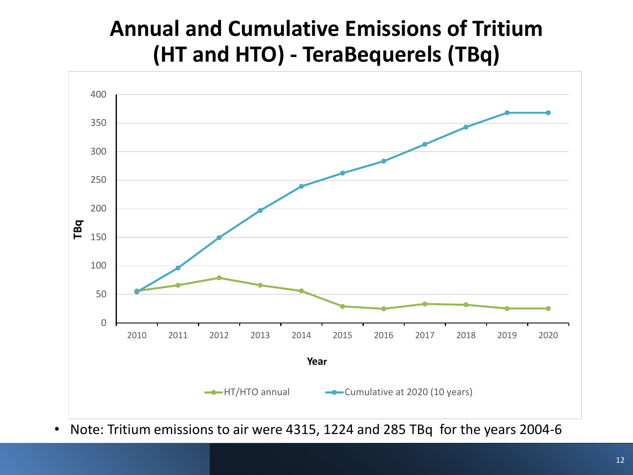### **Annual and Cumulative Emissions of Tritium (HT and HTO) - TeraBequerels (TBq)**



• Note: Tritium emissions to air were 4315, 1224 and 285 TBq for the years 2004-6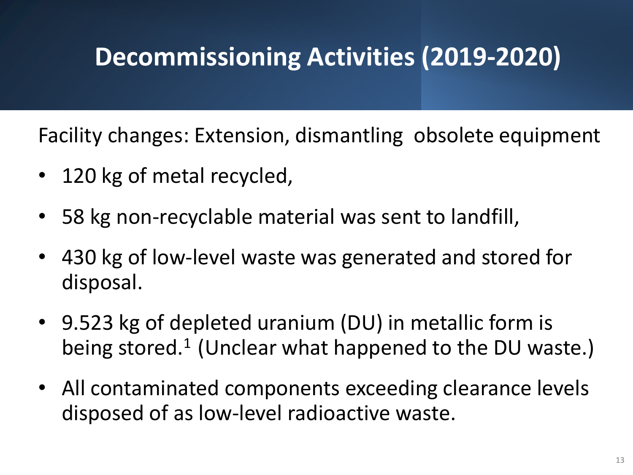## **Decommissioning Activities (2019-2020)**

Facility changes: Extension, dismantling obsolete equipment

- 120 kg of metal recycled,
- 58 kg non-recyclable material was sent to landfill,
- 430 kg of low-level waste was generated and stored for disposal.
- 9.523 kg of depleted uranium (DU) in metallic form is being stored.<sup>1</sup> (Unclear what happened to the DU waste.)
- All contaminated components exceeding clearance levels disposed of as low-level radioactive waste.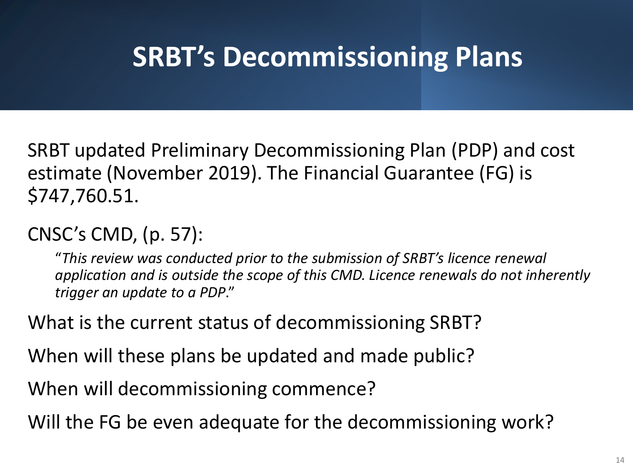# **SRBT's Decommissioning Plans**

SRBT updated Preliminary Decommissioning Plan (PDP) and cost estimate (November 2019). The Financial Guarantee (FG) is \$747,760.51.

CNSC's CMD, (p. 57):

"*This review was conducted prior to the submission of SRBT's licence renewal application and is outside the scope of this CMD. Licence renewals do not inherently trigger an update to a PDP*."

What is the current status of decommissioning SRBT?

When will these plans be updated and made public?

When will decommissioning commence?

Will the FG be even adequate for the decommissioning work?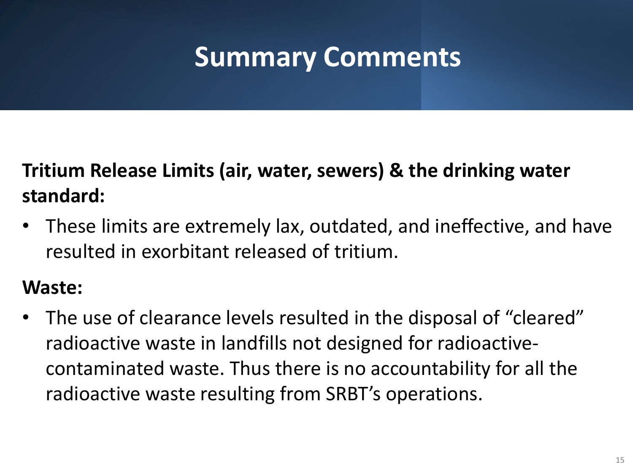# **Summary Comments**

### **Tritium Release Limits (air, water, sewers) & the drinking water standard:**

• These limits are extremely lax, outdated, and ineffective, and have resulted in exorbitant released of tritium.

#### **Waste:**

• The use of clearance levels resulted in the disposal of "cleared" radioactive waste in landfills not designed for radioactivecontaminated waste. Thus there is no accountability for all the radioactive waste resulting from SRBT's operations.